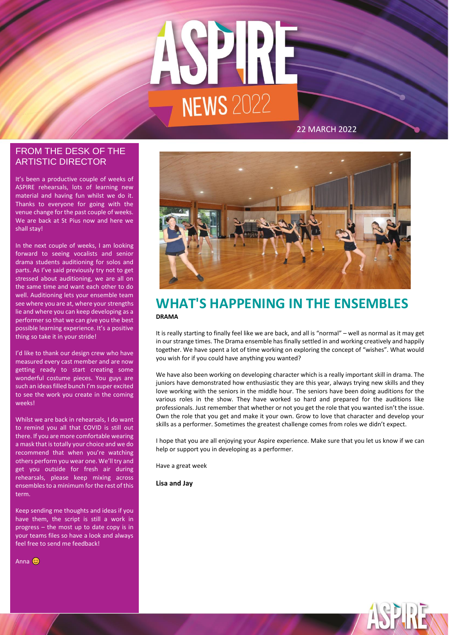

# ARTISTIC DIRECTOR FROM THE DESK OF THE

It's been a productive couple of weeks of ASPIRE rehearsals, lots of learning new material and having fun whilst we do it. Thanks to everyone for going with the venue change for the past couple of weeks. We are back at St Pius now and here we shall stay!

In the next couple of weeks, I am looking forward to seeing vocalists and senior drama students auditioning for solos and parts. As I've said previously try not to get stressed about auditioning, we are all on the same time and want each other to do well. Auditioning lets your ensemble team see where you are at, where your strengths lie and where you can keep developing as a performer so that we can give you the best possible learning experience. It's a positive thing so take it in your stride!

I'd like to thank our design crew who have measured every cast member and are now getting ready to start creating some wonderful costume pieces. You guys are such an ideas filled bunch I'm super excited to see the work you create in the coming weeks!

Whilst we are back in rehearsals, I do want to remind you all that COVID is still out there. If you are more comfortable wearing a mask that is totally your choice and we do recommend that when you're watching others perform you wear one. We'll try and get you outside for fresh air during rehearsals, please keep mixing across ensembles to a minimum for the rest of this term.

Keep sending me thoughts and ideas if you have them, the script is still a work in progress – the most up to date copy is in your teams files so have a look and always feel free to send me feedback!

Anna **C** 

# **WHAT'S HAPPENING IN THE ENSEMBLES DRAMA**

It is really starting to finally feel like we are back, and all is "normal" – well as normal as it may get in our strange times. The Drama ensemble has finally settled in and working creatively and happily together. We have spent a lot of time working on exploring the concept of "wishes". What would you wish for if you could have anything you wanted?

We have also been working on developing character which is a really important skill in drama. The juniors have demonstrated how enthusiastic they are this year, always trying new skills and they love working with the seniors in the middle hour. The seniors have been doing auditions for the various roles in the show. They have worked so hard and prepared for the auditions like professionals. Just remember that whether or not you get the role that you wanted isn't the issue. Own the role that you get and make it your own. Grow to love that character and develop your skills as a performer. Sometimes the greatest challenge comes from roles we didn't expect.

I hope that you are all enjoying your Aspire experience. Make sure that you let us know if we can help or support you in developing as a performer.

Have a great week

**Lisa and Jay**

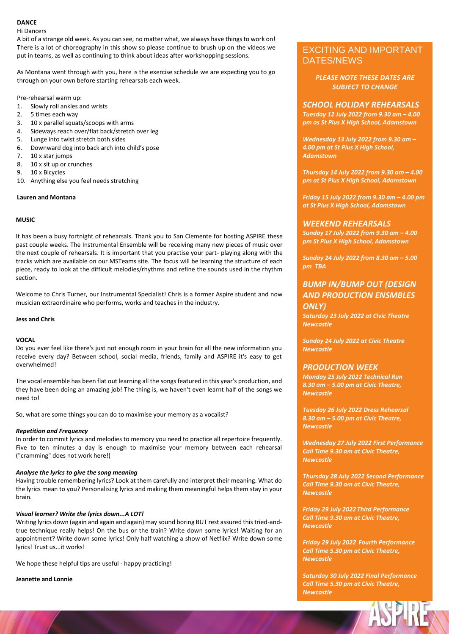#### **DANCE**

Hi Dancers

A bit of a strange old week. As you can see, no matter what, we always have things to work on! There is a lot of choreography in this show so please continue to brush up on the videos we put in teams, as well as continuing to think about ideas after workshopping sessions.

As Montana went through with you, here is the exercise schedule we are expecting you to go through on your own before starting rehearsals each week.

Pre-rehearsal warm up:

- 1. Slowly roll ankles and wrists
- 2. 5 times each way
- 3. 10 x parallel squats/scoops with arms
- 4. Sideways reach over/flat back/stretch over leg
- 5. Lunge into twist stretch both sides
- 6. Downward dog into back arch into child's pose
- 7. 10 x star jumps
- 8. 10 x sit up or crunches
- 9. 10 x Bicycles
- 10. Anything else you feel needs stretching

#### **Lauren and Montana**

#### **MUSIC**

It has been a busy fortnight of rehearsals. Thank you to San Clemente for hosting ASPIRE these past couple weeks. The Instrumental Ensemble will be receiving many new pieces of music over the next couple of rehearsals. It is important that you practise your part- playing along with the tracks which are available on our MSTeams site. The focus will be learning the structure of each piece, ready to look at the difficult melodies/rhythms and refine the sounds used in the rhythm section.

Welcome to Chris Turner, our Instrumental Specialist! Chris is a former Aspire student and now musician extraordinaire who performs, works and teaches in the industry.

#### **Jess and Chris**

#### **VOCAL**

Do you ever feel like there's just not enough room in your brain for all the new information you receive every day? Between school, social media, friends, family and ASPIRE it's easy to get overwhelmed!

The vocal ensemble has been flat out learning all the songs featured in this year's production, and they have been doing an amazing job! The thing is, we haven't even learnt half of the songs we need to!

So, what are some things you can do to maximise your memory as a vocalist?

#### *Repetition and Frequency*

In order to commit lyrics and melodies to memory you need to practice all repertoire frequently. Five to ten minutes a day is enough to maximise your memory between each rehearsal ("cramming" does not work here!)

#### *Analyse the lyrics to give the song meaning*

Having trouble remembering lyrics? Look at them carefully and interpret their meaning. What do the lyrics mean to you? Personalising lyrics and making them meaningful helps them stay in your brain.

#### *Visual learner? Write the lyrics down...A LOT!*

Writing lyrics down (again and again and again) may sound boring BUT rest assured this tried-andtrue technique really helps! On the bus or the train? Write down some lyrics! Waiting for an appointment? Write down some lyrics! Only half watching a show of Netflix? Write down some lyrics! Trust us...it works!

We hope these helpful tips are useful - happy practicing!

**Jeanette and Lonnie**

# EXCITING AND IMPORTANT DATES/NEWS

*PLEASE NOTE THESE DATES ARE SUBJECT TO CHANGE*

#### *SCHOOL HOLIDAY REHEARSALS*

*Tuesday 12 July 2022 from 9.30 am – 4.00 pm as St Pius X High School, Adamstown*

*Wednesday 13 July 2022 from 9.30 am – 4.00 pm at St Pius X High School, Adamstown*

*Thursday 14 July 2022 from 9.30 am – 4.00 pm at St Pius X High School, Adamstown*

*Friday 15 July 2022 from 9.30 am – 4.00 pm at St Pius X High School, Adamstown*

#### *WEEKEND REHEARSALS*

*Sunday 17 July 2022 from 9.30 am – 4.00 pm St Pius X High School, Adamstown*

*Sunday 24 July 2022 from 8.30 am – 5.00 pm TBA*

## *BUMP IN/BUMP OUT (DESIGN AND PRODUCTION ENSMBLES ONLY)*

*Saturday 23 July 2022 at Civic Theatre Newcastle*

*Sunday 24 July 2022 at Civic Theatre Newcastle*

#### *PRODUCTION WEEK*

*Monday 25 July 2022 Technical Run 8.30 am – 5.00 pm at Civic Theatre, Newcastle*

*Tuesday 26 July 2022 Dress Rehearsal 8.30 am – 5.00 pm at Civic Theatre, Newcastle*

*Wednesday 27 July 2022 First Performance Call Time 9.30 am at Civic Theatre, Newcastle*

*Thursday 28 July 2022 Second Performance Call Time 9.30 am at Civic Theatre, Newcastle*

*Friday 29 July 2022 Third Performance Call Time 9.30 am at Civic Theatre, Newcastle*

*Friday 29 July 2022 Fourth Performance Call Time 5.30 pm at Civic Theatre, Newcastle*

*Saturday 30 July 2022 Final Performance Call Time 5.30 pm at Civic Theatre, Newcastle*